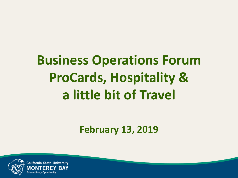# **Business Operations Forum ProCards, Hospitality & a little bit of Travel**

**February 13, 2019**

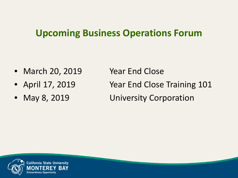#### **Upcoming Business Operations Forum**

- March 20, 2019 Year End Close
- 
- 

• April 17, 2019 Year End Close Training 101 • May 8, 2019 University Corporation

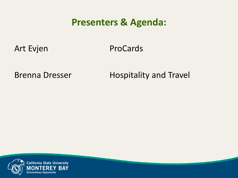#### **Presenters & Agenda:**

Art Evjen ProCards

Brenna Dresser Hospitality and Travel

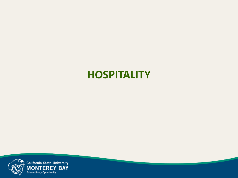#### **HOSPITALITY**

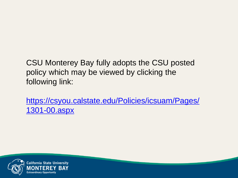CSU Monterey Bay fully adopts the CSU posted policy which may be viewed by clicking the following link:

[https://csyou.calstate.edu/Policies/icsuam/Pages/](https://csyou.calstate.edu/Policies/icsuam/Pages/1301-00.aspx) [1301-00.aspx](https://csyou.calstate.edu/Policies/icsuam/Pages/1301-00.aspx)

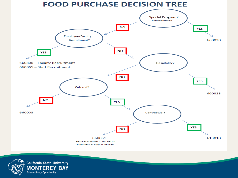

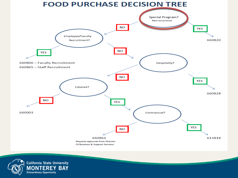

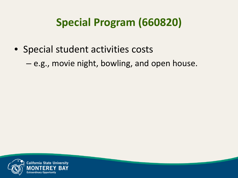### **Special Program (660820)**

- Special student activities costs
	- e.g., movie night, bowling, and open house.

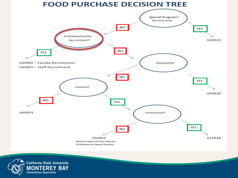

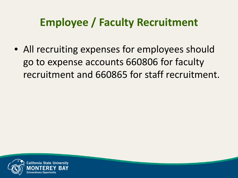### **Employee / Faculty Recruitment**

• All recruiting expenses for employees should go to expense accounts 660806 for faculty recruitment and 660865 for staff recruitment.

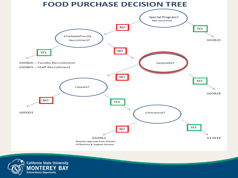

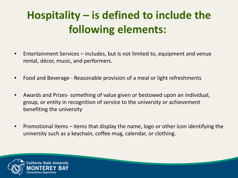### **Hospitality – is defined to include the following elements:**

- Entertainment Services includes, but is not limited to, equipment and venue rental, décor, music, and performers.
- Food and Beverage Reasonable provision of a meal or light refreshments
- Awards and Prizes- something of value given or bestowed upon an individual, group, or entity in recognition of service to the university or achievement benefiting the university
- Promotional Items items that display the name, logo or other icon identifying the university such as a keychain, coffee mug, calendar, or clothing.



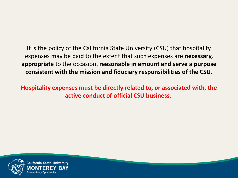It is the policy of the California State University (CSU) that hospitality expenses may be paid to the extent that such expenses are **necessary, appropriate** to the occasion, **reasonable in amount and serve a purpose consistent with the mission and fiduciary responsibilities of the CSU.** 

**Hospitality expenses must be directly related to, or associated with, the active conduct of official CSU business.**

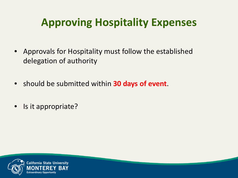### **Approving Hospitality Expenses**

- Approvals for Hospitality must follow the established delegation of authority
- should be submitted within **30 days of event**.
- Is it appropriate?

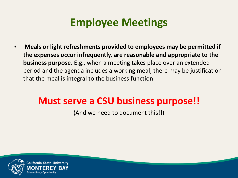#### **Employee Meetings**

• **Meals or light refreshments provided to employees may be permitted if the expenses occur infrequently, are reasonable and appropriate to the business purpose.** E.g., when a meeting takes place over an extended period and the agenda includes a working meal, there may be justification that the meal is integral to the business function.

#### **Must serve a CSU business purpose!!**

(And we need to document this!!)

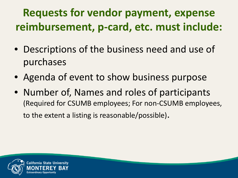### **Requests for vendor payment, expense reimbursement, p-card, etc. must include:**

- Descriptions of the business need and use of purchases
- Agenda of event to show business purpose
- Number of, Names and roles of participants (Required for CSUMB employees; For non-CSUMB employees, to the extent a listing is reasonable/possible).

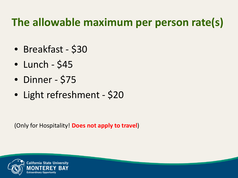### **The allowable maximum per person rate(s)**

- Breakfast \$30
- $\bullet$  Lunch \$45
- Dinner \$75
- Light refreshment \$20

(Only for Hospitality! **Does not apply to travel**)

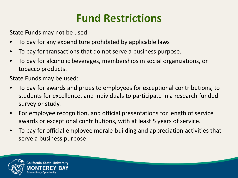### **Fund Restrictions**

State Funds may not be used:

- To pay for any expenditure prohibited by applicable laws
- To pay for transactions that do not serve a business purpose.
- To pay for alcoholic beverages, memberships in social organizations, or tobacco products.

State Funds may be used:

- To pay for awards and prizes to employees for exceptional contributions, to students for excellence, and individuals to participate in a research funded survey or study.
- For employee recognition, and official presentations for length of service awards or exceptional contributions, with at least 5 years of service.
- To pay for official employee morale-building and appreciation activities that serve a business purpose

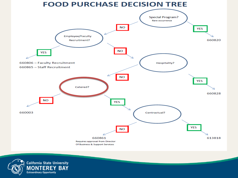

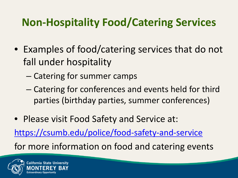### **Non-Hospitality Food/Catering Services**

- Examples of food/catering services that do not fall under hospitality
	- Catering for summer camps
	- Catering for conferences and events held for third parties (birthday parties, summer conferences)
- Please visit Food Safety and Service at: <https://csumb.edu/police/food-safety-and-service> for more information on food and catering events

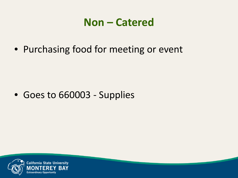#### **Non – Catered**

• Purchasing food for meeting or event

• Goes to 660003 - Supplies

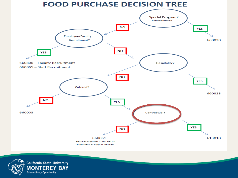

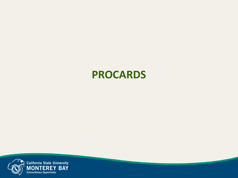

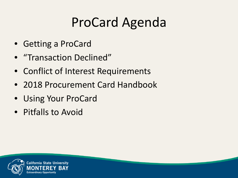### ProCard Agenda

- Getting a ProCard
- "Transaction Declined"
- Conflict of Interest Requirements
- 2018 Procurement Card Handbook
- Using Your ProCard
- Pitfalls to Avoid

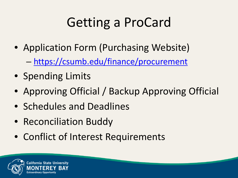# Getting a ProCard

- Application Form (Purchasing Website)
	- <https://csumb.edu/finance/procurement>
- Spending Limits
- Approving Official / Backup Approving Official
- Schedules and Deadlines
- Reconciliation Buddy
- Conflict of Interest Requirements

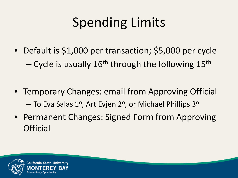# Spending Limits

- Default is \$1,000 per transaction; \$5,000 per cycle  $-$  Cycle is usually 16<sup>th</sup> through the following 15<sup>th</sup>
- Temporary Changes: email from Approving Official – To Eva Salas 1**<sup>o</sup>**, Art Evjen 2**<sup>o</sup>**, or Michael Phillips 3**<sup>o</sup>**
- Permanent Changes: Signed Form from Approving **Official**

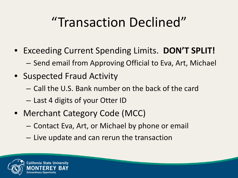# "Transaction Declined"

- Exceeding Current Spending Limits. **DON'T SPLIT!**
	- Send email from Approving Official to Eva, Art, Michael
- Suspected Fraud Activity
	- Call the U.S. Bank number on the back of the card
	- Last 4 digits of your Otter ID
- Merchant Category Code (MCC)
	- Contact Eva, Art, or Michael by phone or email
	- Live update and can rerun the transaction

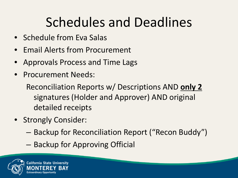### Schedules and Deadlines

- Schedule from Eva Salas
- Email Alerts from Procurement
- Approvals Process and Time Lags
- Procurement Needs:

Reconciliation Reports w/ Descriptions AND **only 2** signatures (Holder and Approver) AND original detailed receipts

- Strongly Consider:
	- Backup for Reconciliation Report ("Recon Buddy")
	- Backup for Approving Official

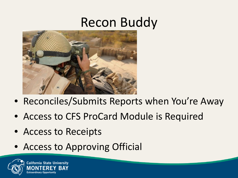### Recon Buddy



- Reconciles/Submits Reports when You're Away
- Access to CFS ProCard Module is Required
- Access to Receipts
- Access to Approving Official

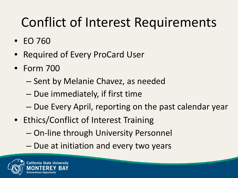- EO 760
- Required of Every ProCard User
- Form 700
	- Sent by Melanie Chavez, as needed
	- Due immediately, if first time
	- Due Every April, reporting on the past calendar year
- Ethics/Conflict of Interest Training
	- On-line through University Personnel
	- Due at initiation and every two years

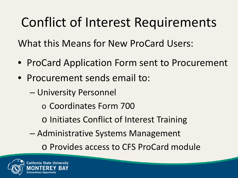What this Means for New ProCard Users:

- ProCard Application Form sent to Procurement
- Procurement sends email to:
	- University Personnel
		- o Coordinates Form 700
		- o Initiates Conflict of Interest Training
	- Administrative Systems Management

o Provides access to CFS ProCard module

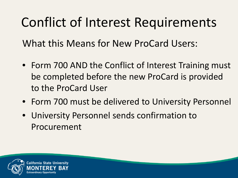What this Means for New ProCard Users:

- Form 700 AND the Conflict of Interest Training must be completed before the new ProCard is provided to the ProCard User
- Form 700 must be delivered to University Personnel
- University Personnel sends confirmation to Procurement

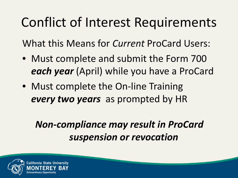What this Means for *Current* ProCard Users:

- Must complete and submit the Form 700 *each year* (April) while you have a ProCard
- Must complete the On-line Training *every two years* as prompted by HR

#### *Non-compliance may result in ProCard suspension or revocation*

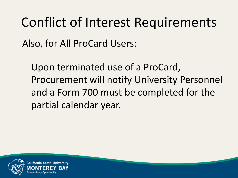Also, for All ProCard Users:

Upon terminated use of a ProCard, Procurement will notify University Personnel and a Form 700 must be completed for the partial calendar year.

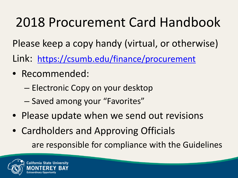# 2018 Procurement Card Handbook

Please keep a copy handy (virtual, or otherwise)

Link: <https://csumb.edu/finance/procurement>

- Recommended:
	- Electronic Copy on your desktop
	- Saved among your "Favorites"
- Please update when we send out revisions
- Cardholders and Approving Officials are responsible for compliance with the Guidelines

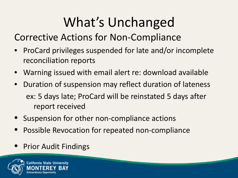# What's Unchanged

Corrective Actions for Non-Compliance

- ProCard privileges suspended for late and/or incomplete reconciliation reports
- Warning issued with email alert re: download available
- Duration of suspension may reflect duration of lateness ex: 5 days late; ProCard will be reinstated 5 days after report received
- Suspension for other non-compliance actions
- Possible Revocation for repeated non-compliance
- Prior Audit Findings

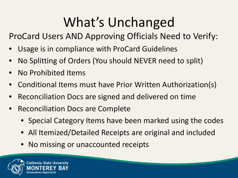# What's Unchanged

ProCard Users AND Approving Officials Need to Verify:

- Usage is in compliance with ProCard Guidelines
- No Splitting of Orders (You should NEVER need to split)
- No Prohibited Items
- Conditional Items must have Prior Written Authorization(s)
- Reconciliation Docs are signed and delivered on time
- Reconciliation Docs are Complete
	- Special Category Items have been marked using the codes
	- All Itemized/Detailed Receipts are original and included
	- No missing or unaccounted receipts

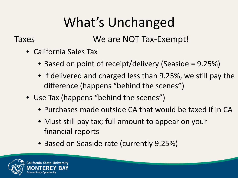# What's Unchanged

Taxes We are NOT Tax-Exempt!

- California Sales Tax
	- Based on point of receipt/delivery (Seaside = 9.25%)
	- If delivered and charged less than 9.25%, we still pay the difference (happens "behind the scenes")
- Use Tax (happens "behind the scenes")
	- Purchases made outside CA that would be taxed if in CA
	- Must still pay tax; full amount to appear on your financial reports
	- Based on Seaside rate (currently 9.25%)

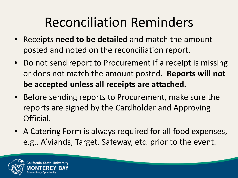### Reconciliation Reminders

- Receipts **need to be detailed** and match the amount posted and noted on the reconciliation report.
- Do not send report to Procurement if a receipt is missing or does not match the amount posted. **Reports will not be accepted unless all receipts are attached.**
- Before sending reports to Procurement, make sure the reports are signed by the Cardholder and Approving Official.
- A Catering Form is always required for all food expenses, e.g., A'viands, Target, Safeway, etc. prior to the event.

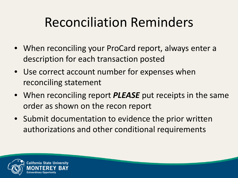### Reconciliation Reminders

- When reconciling your ProCard report, always enter a description for each transaction posted
- Use correct account number for expenses when reconciling statement
- When reconciling report *PLEASE* put receipts in the same order as shown on the recon report
- Submit documentation to evidence the prior written authorizations and other conditional requirements

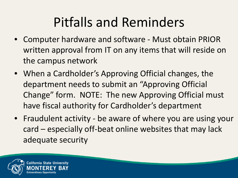### Pitfalls and Reminders

- Computer hardware and software Must obtain PRIOR written approval from IT on any items that will reside on the campus network
- When a Cardholder's Approving Official changes, the department needs to submit an "Approving Official Change" form. NOTE: The new Approving Official must have fiscal authority for Cardholder's department
- Fraudulent activity be aware of where you are using your card – especially off-beat online websites that may lack adequate security

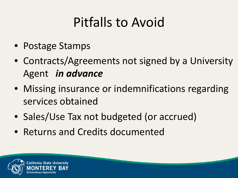# Pitfalls to Avoid

- Postage Stamps
- Contracts/Agreements not signed by a University Agent *in advance*
- Missing insurance or indemnifications regarding services obtained
- Sales/Use Tax not budgeted (or accrued)
- Returns and Credits documented

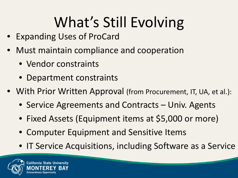# What's Still Evolving

- Expanding Uses of ProCard
- Must maintain compliance and cooperation
	- Vendor constraints

**California State University** 

- Department constraints
- With Prior Written Approval (from Procurement, IT, UA, et al.):
	- Service Agreements and Contracts Univ. Agents
	- Fixed Assets (Equipment items at \$5,000 or more)
	- Computer Equipment and Sensitive Items
	- IT Service Acquisitions, including Software as a Service

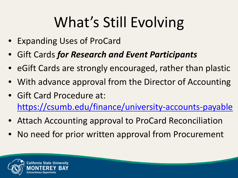# What's Still Evolving

- Expanding Uses of ProCard
- Gift Cards *for Research and Event Participants*
- eGift Cards are strongly encouraged, rather than plastic
- With advance approval from the Director of Accounting
- Gift Card Procedure at: <https://csumb.edu/finance/university-accounts-payable>
- Attach Accounting approval to ProCard Reconciliation
- No need for prior written approval from Procurement

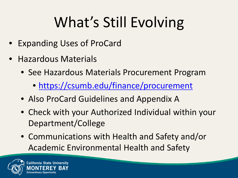# What's Still Evolving

- Expanding Uses of ProCard
- Hazardous Materials
	- See Hazardous Materials Procurement Program
		- <https://csumb.edu/finance/procurement>
	- Also ProCard Guidelines and Appendix A
	- Check with your Authorized Individual within your Department/College
	- Communications with Health and Safety and/or Academic Environmental Health and Safety

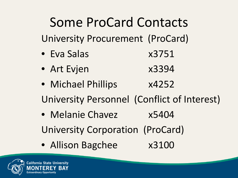# Some ProCard Contacts

University Procurement (ProCard)

- Eva Salas x3751
- Art Evjen x3394
- Michael Phillips x4252
- University Personnel (Conflict of Interest)
- Melanie Chavez x5404
- University Corporation (ProCard)
- Allison Bagchee x3100

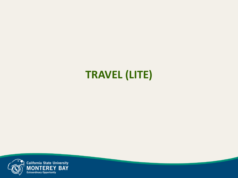### **TRAVEL (LITE)**

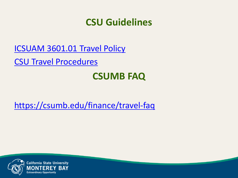#### **CSU Guidelines**

[ICSUAM 3601.01 Travel Policy](https://csyou.calstate.edu/Policies/icsuam/_layouts/15/WopiFrame.aspx?sourcedoc=/Policies/icsuam/SiteAssets/Pages/3601-01/Travel-AB-1887-faq - Rev Sept 2017.docx&action=default&DefaultItemOpen=1)

[CSU Travel Procedures](https://csyou.calstate.edu/Policies/icsuam/SiteAssets/Pages/3601-01/Travel_Procedures-1-19-18.pdf#search=travel)

#### **CSUMB FAQ**

<https://csumb.edu/finance/travel-faq>



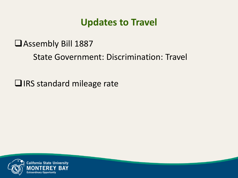#### **Updates to Travel**

#### Assembly Bill 1887

State Government: Discrimination: Travel

 $\Box$  IRS standard mileage rate

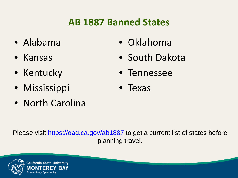#### **AB 1887 Banned States**

- Alabama
- Kansas
- Kentucky
- Mississippi
- North Carolina
- Oklahoma
- South Dakota
- Tennessee
- Texas

Please visit<https://oag.ca.gov/ab1887> to get a current list of states before planning travel.

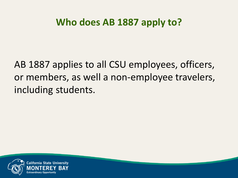#### **Who does AB 1887 apply to?**

AB 1887 applies to all CSU employees, officers, or members, as well a non-employee travelers, including students.

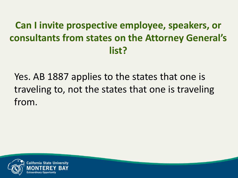#### **Can I invite prospective employee, speakers, or consultants from states on the Attorney General's list?**

Yes. AB 1887 applies to the states that one is traveling to, not the states that one is traveling from.

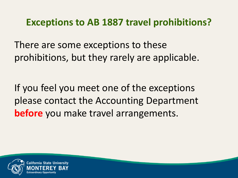#### **Exceptions to AB 1887 travel prohibitions?**

There are some exceptions to these prohibitions, but they rarely are applicable.

If you feel you meet one of the exceptions please contact the Accounting Department **before** you make travel arrangements.

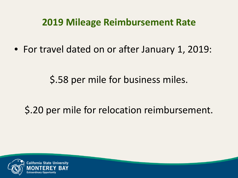#### **2019 Mileage Reimbursement Rate**

• For travel dated on or after January 1, 2019:

\$.58 per mile for business miles.

#### \$.20 per mile for relocation reimbursement.

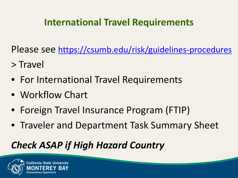#### **International Travel Requirements**

Please see<https://csumb.edu/risk/guidelines-procedures>

- > Travel
- For International Travel Requirements
- Workflow Chart
- Foreign Travel Insurance Program (FTIP)
- Traveler and Department Task Summary Sheet

#### *Check ASAP if High Hazard Country*